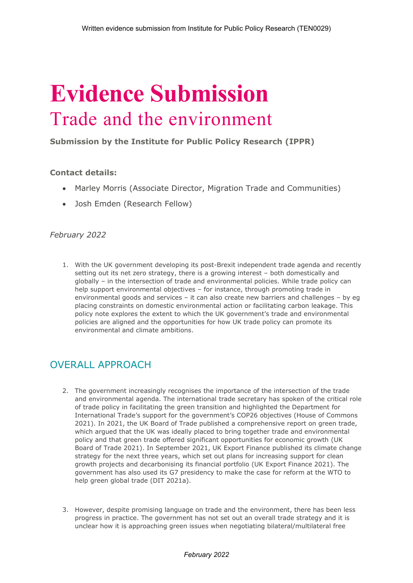# **Evidence Submission** Trade and the environment

**Submission by the Institute for Public Policy Research (IPPR)**

#### **Contact details:**

- Marley Morris (Associate Director, Migration Trade and Communities)
- Josh Emden (Research Fellow)

#### *February 2022*

1. With the UK government developing its post-Brexit independent trade agenda and recently setting out its net zero strategy, there is a growing interest – both domestically and globally – in the intersection of trade and environmental policies. While trade policy can help support environmental objectives – for instance, through promoting trade in environmental goods and services – it can also create new barriers and challenges – by eg placing constraints on domestic environmental action or facilitating carbon leakage. This policy note explores the extent to which the UK government's trade and environmental policies are aligned and the opportunities for how UK trade policy can promote its environmental and climate ambitions.

## OVERALL APPROACH

- 2. The government increasingly recognises the importance of the intersection of the trade and environmental agenda. The international trade secretary has spoken of the critical role of trade policy in facilitating the green transition and highlighted the Department for International Trade's support for the government's COP26 objectives (House of Commons 2021). In 2021, the UK Board of Trade published a comprehensive report on green trade, which argued that the UK was ideally placed to bring together trade and environmental policy and that green trade offered significant opportunities for economic growth (UK Board of Trade 2021). In September 2021, UK Export Finance published its climate change strategy for the next three years, which set out plans for increasing support for clean growth projects and decarbonising its financial portfolio (UK Export Finance 2021). The government has also used its G7 presidency to make the case for reform at the WTO to help green global trade (DIT 2021a).
- 3. However, despite promising language on trade and the environment, there has been less progress in practice. The government has not set out an overall trade strategy and it is unclear how it is approaching green issues when negotiating bilateral/multilateral free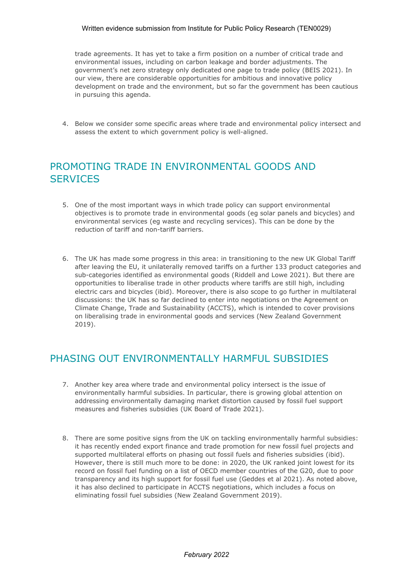#### Written evidence submission from Institute for Public Policy Research (TEN0029)

trade agreements. It has yet to take a firm position on a number of critical trade and environmental issues, including on carbon leakage and border adjustments. The government's net zero strategy only dedicated one page to trade policy (BEIS 2021). In our view, there are considerable opportunities for ambitious and innovative policy development on trade and the environment, but so far the government has been cautious in pursuing this agenda.

4. Below we consider some specific areas where trade and environmental policy intersect and assess the extent to which government policy is well-aligned.

# PROMOTING TRADE IN ENVIRONMENTAL GOODS AND **SERVICES**

- 5. One of the most important ways in which trade policy can support environmental objectives is to promote trade in environmental goods (eg solar panels and bicycles) and environmental services (eg waste and recycling services). This can be done by the reduction of tariff and non-tariff barriers.
- 6. The UK has made some progress in this area: in transitioning to the new UK Global Tariff after leaving the EU, it unilaterally removed tariffs on a further 133 product categories and sub-categories identified as environmental goods (Riddell and Lowe 2021). But there are opportunities to liberalise trade in other products where tariffs are still high, including electric cars and bicycles (ibid). Moreover, there is also scope to go further in multilateral discussions: the UK has so far declined to enter into negotiations on the Agreement on Climate Change, Trade and Sustainability (ACCTS), which is intended to cover provisions on liberalising trade in environmental goods and services (New Zealand Government 2019).

### PHASING OUT ENVIRONMENTALLY HARMFUL SUBSIDIES

- 7. Another key area where trade and environmental policy intersect is the issue of environmentally harmful subsidies. In particular, there is growing global attention on addressing environmentally damaging market distortion caused by fossil fuel support measures and fisheries subsidies (UK Board of Trade 2021).
- 8. There are some positive signs from the UK on tackling environmentally harmful subsidies: it has recently ended export finance and trade promotion for new fossil fuel projects and supported multilateral efforts on phasing out fossil fuels and fisheries subsidies (ibid). However, there is still much more to be done: in 2020, the UK ranked joint lowest for its record on fossil fuel funding on a list of OECD member countries of the G20, due to poor transparency and its high support for fossil fuel use (Geddes et al 2021). As noted above, it has also declined to participate in ACCTS negotiations, which includes a focus on eliminating fossil fuel subsidies (New Zealand Government 2019).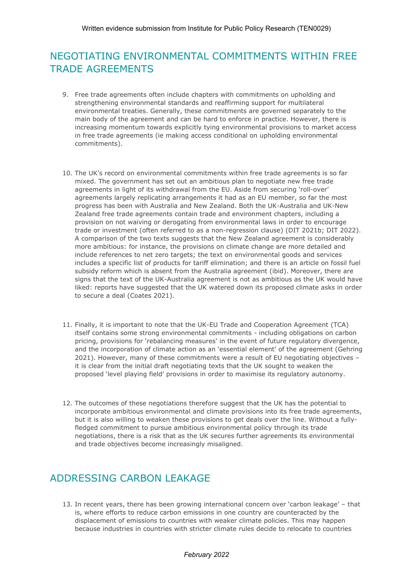# NEGOTIATING ENVIRONMENTAL COMMITMENTS WITHIN FREE TRADE AGREEMENTS

- 9. Free trade agreements often include chapters with commitments on upholding and strengthening environmental standards and reaffirming support for multilateral environmental treaties. Generally, these commitments are governed separately to the main body of the agreement and can be hard to enforce in practice. However, there is increasing momentum towards explicitly tying environmental provisions to market access in free trade agreements (ie making access conditional on upholding environmental commitments).
- 10. The UK's record on environmental commitments within free trade agreements is so far mixed. The government has set out an ambitious plan to negotiate new free trade agreements in light of its withdrawal from the EU. Aside from securing 'roll-over' agreements largely replicating arrangements it had as an EU member, so far the most progress has been with Australia and New Zealand. Both the UK-Australia and UK-New Zealand free trade agreements contain trade and environment chapters, including a provision on not waiving or derogating from environmental laws in order to encourage trade or investment (often referred to as a non-regression clause) (DIT 2021b; DIT 2022). A comparison of the two texts suggests that the New Zealand agreement is considerably more ambitious: for instance, the provisions on climate change are more detailed and include references to net zero targets; the text on environmental goods and services includes a specific list of products for tariff elimination; and there is an article on fossil fuel subsidy reform which is absent from the Australia agreement (ibid). Moreover, there are signs that the text of the UK-Australia agreement is not as ambitious as the UK would have liked: reports have suggested that the UK watered down its proposed climate asks in order to secure a deal (Coates 2021).
- 11. Finally, it is important to note that the UK-EU Trade and Cooperation Agreement (TCA) itself contains some strong environmental commitments - including obligations on carbon pricing, provisions for 'rebalancing measures' in the event of future regulatory divergence, and the incorporation of climate action as an 'essential element' of the agreement (Gehring 2021). However, many of these commitments were a result of EU negotiating objectives – it is clear from the initial draft negotiating texts that the UK sought to weaken the proposed 'level playing field' provisions in order to maximise its regulatory autonomy.
- 12. The outcomes of these negotiations therefore suggest that the UK has the potential to incorporate ambitious environmental and climate provisions into its free trade agreements, but it is also willing to weaken these provisions to get deals over the line. Without a fullyfledged commitment to pursue ambitious environmental policy through its trade negotiations, there is a risk that as the UK secures further agreements its environmental and trade objectives become increasingly misaligned.

## ADDRESSING CARBON LEAKAGE

13. In recent years, there has been growing international concern over 'carbon leakage' – that is, where efforts to reduce carbon emissions in one country are counteracted by the displacement of emissions to countries with weaker climate policies. This may happen because industries in countries with stricter climate rules decide to relocate to countries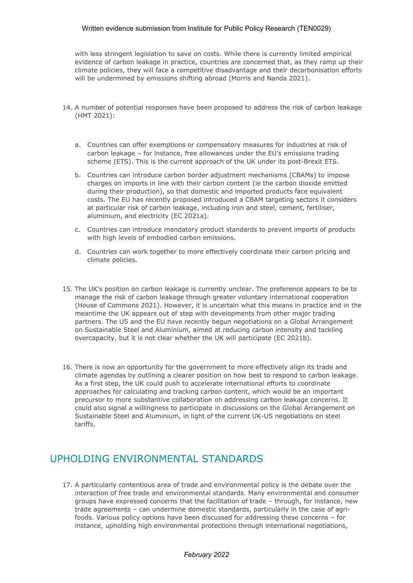#### Written evidence submission from Institute for Public Policy Research (TEN0029)

with less stringent legislation to save on costs. While there is currently limited empirical evidence of carbon leakage in practice, countries are concerned that, as they ramp up their climate policies, they will face a competitive disadvantage and their decarbonisation efforts will be undermined by emissions shifting abroad (Morris and Nanda 2021).

- 14. A number of potential responses have been proposed to address the risk of carbon leakage (HMT 2021):
	- a. Countries can offer exemptions or compensatory measures for industries at risk of carbon leakage – for instance, free allowances under the EU's emissions trading scheme (ETS). This is the current approach of the UK under its post-Brexit ETS.
	- b. Countries can introduce carbon border adjustment mechanisms (CBAMs) to impose charges on imports in line with their carbon content (ie the carbon dioxide emitted during their production), so that domestic and imported products face equivalent costs. The EU has recently proposed introduced a CBAM targeting sectors it considers at particular risk of carbon leakage, including iron and steel, cement, fertiliser, aluminium, and electricity (EC 2021a).
	- c. Countries can introduce mandatory product standards to prevent imports of products with high levels of embodied carbon emissions.
	- d. Countries can work together to more effectively coordinate their carbon pricing and climate policies.
- 15. The UK's position on carbon leakage is currently unclear. The preference appears to be to manage the risk of carbon leakage through greater voluntary international cooperation (House of Commons 2021). However, it is uncertain what this means in practice and in the meantime the UK appears out of step with developments from other major trading partners. The US and the EU have recently begun negotiations on a Global Arrangement on Sustainable Steel and Aluminium, aimed at reducing carbon intensity and tackling overcapacity, but it is not clear whether the UK will participate (EC 2021b).
- 16. There is now an opportunity for the government to more effectively align its trade and climate agendas by outlining a clearer position on how best to respond to carbon leakage. As a first step, the UK could push to accelerate international efforts to coordinate approaches for calculating and tracking carbon content, which would be an important precursor to more substantive collaboration on addressing carbon leakage concerns. It could also signal a willingness to participate in discussions on the Global Arrangement on Sustainable Steel and Aluminium, in light of the current UK-US negotiations on steel tariffs.

## UPHOLDING ENVIRONMENTAL STANDARDS

17. A particularly contentious area of trade and environmental policy is the debate over the interaction of free trade and environmental standards. Many environmental and consumer groups have expressed concerns that the facilitation of trade – through, for instance, new trade agreements – can undermine domestic standards, particularly in the case of agrifoods. Various policy options have been discussed for addressing these concerns – for instance, upholding high environmental protections through international negotiations,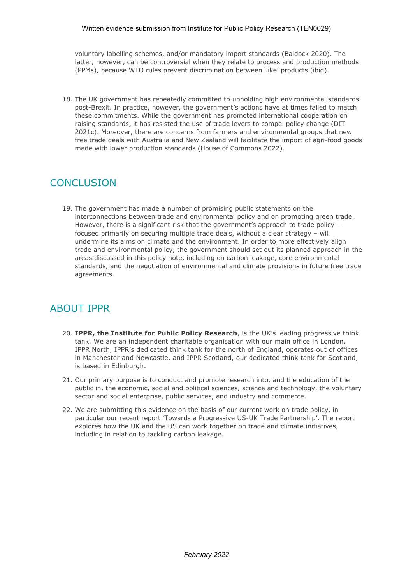voluntary labelling schemes, and/or mandatory import standards (Baldock 2020). The latter, however, can be controversial when they relate to process and production methods (PPMs), because WTO rules prevent discrimination between 'like' products (ibid).

18. The UK government has repeatedly committed to upholding high environmental standards post-Brexit. In practice, however, the government's actions have at times failed to match these commitments. While the government has promoted international cooperation on raising standards, it has resisted the use of trade levers to compel policy change (DIT 2021c). Moreover, there are concerns from farmers and environmental groups that new free trade deals with Australia and New Zealand will facilitate the import of agri-food goods made with lower production standards (House of Commons 2022).

### **CONCLUSION**

19. The government has made a number of promising public statements on the interconnections between trade and environmental policy and on promoting green trade. However, there is a significant risk that the government's approach to trade policy – focused primarily on securing multiple trade deals, without a clear strategy – will undermine its aims on climate and the environment. In order to more effectively align trade and environmental policy, the government should set out its planned approach in the areas discussed in this policy note, including on carbon leakage, core environmental standards, and the negotiation of environmental and climate provisions in future free trade agreements.

### ABOUT IPPR

- 20. **IPPR, the Institute for Public Policy Research**, is the UK's leading progressive think tank. We are an independent charitable organisation with our main office in London. IPPR North, IPPR's dedicated think tank for the north of England, operates out of offices in Manchester and Newcastle, and IPPR Scotland, our dedicated think tank for Scotland, is based in Edinburgh.
- 21. Our primary purpose is to conduct and promote research into, and the education of the public in, the economic, social and political sciences, science and technology, the voluntary sector and social enterprise, public services, and industry and commerce.
- 22. We are submitting this evidence on the basis of our current work on trade policy, in particular our recent report 'Towards a Progressive US-UK Trade Partnership'. The report explores how the UK and the US can work together on trade and climate initiatives, including in relation to tackling carbon leakage.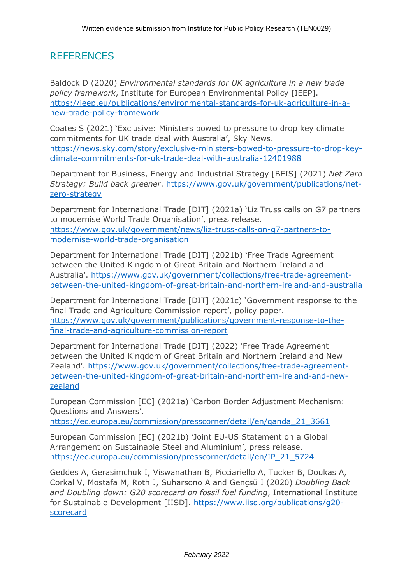## **REFERENCES**

Baldock D (2020) *Environmental standards for UK agriculture in a new trade policy framework*, Institute for European Environmental Policy [IEEP]. [https://ieep.eu/publications/environmental-standards-for-uk-agriculture-in-a](https://ieep.eu/publications/environmental-standards-for-uk-agriculture-in-a-new-trade-policy-framework)[new-trade-policy-framework](https://ieep.eu/publications/environmental-standards-for-uk-agriculture-in-a-new-trade-policy-framework)

Coates S (2021) 'Exclusive: Ministers bowed to pressure to drop key climate commitments for UK trade deal with Australia', Sky News. [https://news.sky.com/story/exclusive-ministers-bowed-to-pressure-to-drop-key](https://news.sky.com/story/exclusive-ministers-bowed-to-pressure-to-drop-key-climate-commitments-for-uk-trade-deal-with-australia-12401988)[climate-commitments-for-uk-trade-deal-with-australia-12401988](https://news.sky.com/story/exclusive-ministers-bowed-to-pressure-to-drop-key-climate-commitments-for-uk-trade-deal-with-australia-12401988)

Department for Business, Energy and Industrial Strategy [BEIS] (2021) *Net Zero Strategy: Build back greener*. [https://www.gov.uk/government/publications/net](https://www.gov.uk/government/publications/net-zero-strategy)[zero-strategy](https://www.gov.uk/government/publications/net-zero-strategy)

Department for International Trade [DIT] (2021a) 'Liz Truss calls on G7 partners to modernise World Trade Organisation', press release. [https://www.gov.uk/government/news/liz-truss-calls-on-g7-partners-to](https://www.gov.uk/government/news/liz-truss-calls-on-g7-partners-to-modernise-world-trade-organisation)[modernise-world-trade-organisation](https://www.gov.uk/government/news/liz-truss-calls-on-g7-partners-to-modernise-world-trade-organisation)

Department for International Trade [DIT] (2021b) 'Free Trade Agreement between the United Kingdom of Great Britain and Northern Ireland and Australia'. [https://www.gov.uk/government/collections/free-trade-agreement](https://www.gov.uk/government/collections/free-trade-agreement-between-the-united-kingdom-of-great-britain-and-northern-ireland-and-australia)[between-the-united-kingdom-of-great-britain-and-northern-ireland-and-australia](https://www.gov.uk/government/collections/free-trade-agreement-between-the-united-kingdom-of-great-britain-and-northern-ireland-and-australia)

Department for International Trade [DIT] (2021c) 'Government response to the final Trade and Agriculture Commission report', policy paper. [https://www.gov.uk/government/publications/government-response-to-the](https://www.gov.uk/government/publications/government-response-to-the-final-trade-and-agriculture-commission-report)[final-trade-and-agriculture-commission-report](https://www.gov.uk/government/publications/government-response-to-the-final-trade-and-agriculture-commission-report)

Department for International Trade [DIT] (2022) 'Free Trade Agreement between the United Kingdom of Great Britain and Northern Ireland and New Zealand'. [https://www.gov.uk/government/collections/free-trade-agreement](https://www.gov.uk/government/collections/free-trade-agreement-between-the-united-kingdom-of-great-britain-and-northern-ireland-and-new-zealand)[between-the-united-kingdom-of-great-britain-and-northern-ireland-and-new](https://www.gov.uk/government/collections/free-trade-agreement-between-the-united-kingdom-of-great-britain-and-northern-ireland-and-new-zealand)[zealand](https://www.gov.uk/government/collections/free-trade-agreement-between-the-united-kingdom-of-great-britain-and-northern-ireland-and-new-zealand)

European Commission [EC] (2021a) 'Carbon Border Adjustment Mechanism: Questions and Answers'.

[https://ec.europa.eu/commission/presscorner/detail/en/qanda\\_21\\_3661](https://ec.europa.eu/commission/presscorner/detail/en/qanda_21_3661)

European Commission [EC] (2021b) 'Joint EU-US Statement on a Global Arrangement on Sustainable Steel and Aluminium', press release. [https://ec.europa.eu/commission/presscorner/detail/en/IP\\_21\\_5724](https://ec.europa.eu/commission/presscorner/detail/en/IP_21_5724)

Geddes A, Gerasimchuk I, Viswanathan B, Picciariello A, Tucker B, Doukas A, Corkal V, Mostafa M, Roth J, Suharsono A and Gençsü I (2020) *Doubling Back and Doubling down: G20 scorecard on fossil fuel funding*, International Institute for Sustainable Development [IISD]. [https://www.iisd.org/publications/g20](https://www.iisd.org/publications/g20-scorecard) [scorecard](https://www.iisd.org/publications/g20-scorecard)